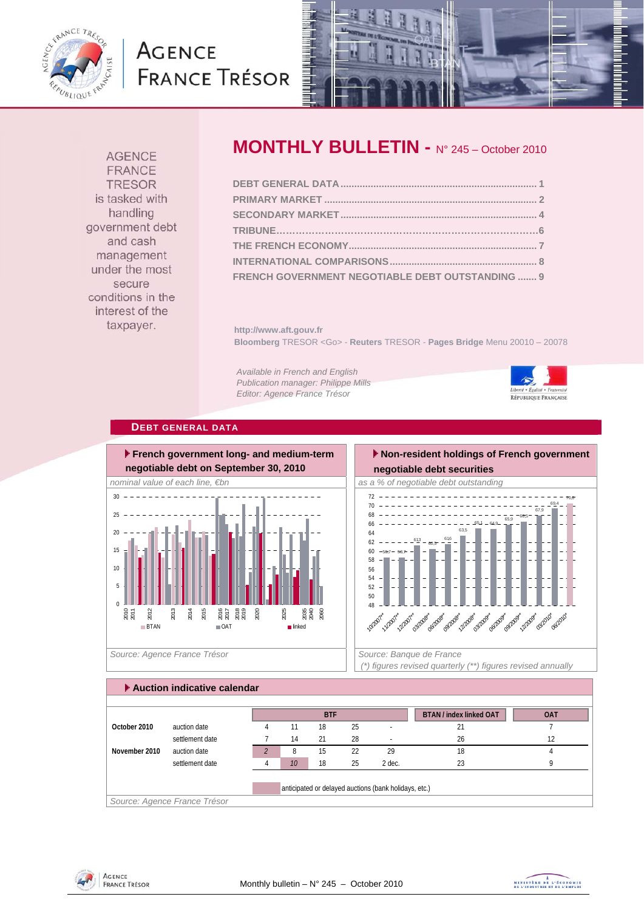

# **AGENCE FRANCE TRÉSOR**



**AGENCE FRANCE TRESOR** is tasked with handling government debt and cash management under the most secure conditions in the interest of the taxpayer.

## **MONTHLY BULLETIN -** N° 245 – October 2010

| FRENCH GOVERNMENT NEGOTIABLE DEBT OUTSTANDING  9 |  |
|--------------------------------------------------|--|

**http://www.aft.gouv.fr Bloomberg** TRESOR <Go> - **Reuters** TRESOR - **Pages Bridge** Menu 20010 – 20078

*Available in French and English Publication manager: Philippe Mills Editor: Agence France Trésor* 



#### **DEBT GENERAL DATA**



Source: Agence France Trésor **Source: Banque de France**  $\vert$  Source: Banque de France

#### **Non-resident holdings of French government negotiable debt securities**   $65,1 - 64,9$  $\frac{1}{65,9}$  -66,5 67,9 69,4 70,6 66 68 70 72



 *(\*) figures revised quarterly (\*\*) figures revised annually* 

| Auction indicative calendar |                              |   |    |            |    |                                                       |                                |            |  |  |  |  |
|-----------------------------|------------------------------|---|----|------------|----|-------------------------------------------------------|--------------------------------|------------|--|--|--|--|
|                             |                              |   |    |            |    |                                                       |                                |            |  |  |  |  |
|                             |                              |   |    | <b>BTF</b> |    |                                                       | <b>BTAN / index linked OAT</b> | <b>OAT</b> |  |  |  |  |
| October 2010                | auction date                 | 4 | 11 | 18         | 25 |                                                       | 21                             |            |  |  |  |  |
|                             | settlement date              |   | 14 | 21         | 28 |                                                       | 26                             | 12         |  |  |  |  |
| November 2010               | auction date                 |   | 8  | 15         | 22 | 29                                                    | 18                             |            |  |  |  |  |
|                             | settlement date              |   | 10 | 18         | 25 | 2 dec.                                                | 23                             | Q          |  |  |  |  |
|                             |                              |   |    |            |    |                                                       |                                |            |  |  |  |  |
|                             |                              |   |    |            |    | anticipated or delayed auctions (bank holidays, etc.) |                                |            |  |  |  |  |
|                             | Source: Agence France Trésor |   |    |            |    |                                                       |                                |            |  |  |  |  |

**AGENCE FRANCE TRÉSOR** 

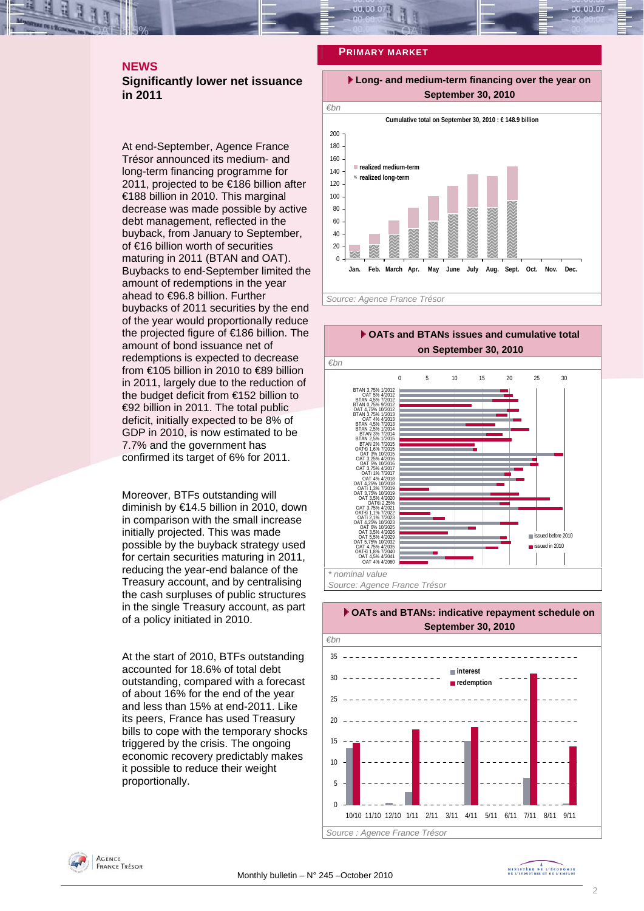### **NEWS Significantly lower net issuance in 2011**

At end-September, Agence France Trésor announced its medium- and long-term financing programme for 2011, projected to be €186 billion after €188 billion in 2010. This marginal decrease was made possible by active debt management, reflected in the buyback, from January to September, of €16 billion worth of securities maturing in 2011 (BTAN and OAT). Buybacks to end-September limited the amount of redemptions in the year ahead to €96.8 billion. Further buybacks of 2011 securities by the end of the year would proportionally reduce the projected figure of €186 billion. The amount of bond issuance net of redemptions is expected to decrease from €105 billion in 2010 to €89 billion in 2011, largely due to the reduction of the budget deficit from €152 billion to €92 billion in 2011. The total public deficit, initially expected to be 8% of GDP in 2010, is now estimated to be 7.7% and the government has confirmed its target of 6% for 2011.

Moreover, BTFs outstanding will diminish by €14.5 billion in 2010, down in comparison with the small increase initially projected. This was made possible by the buyback strategy used for certain securities maturing in 2011, reducing the year-end balance of the Treasury account, and by centralising the cash surpluses of public structures in the single Treasury account, as part of a policy initiated in 2010.

At the start of 2010, BTFs outstanding accounted for 18.6% of total debt outstanding, compared with a forecast of about 16% for the end of the year and less than 15% at end-2011. Like its peers, France has used Treasury bills to cope with the temporary shocks triggered by the crisis. The ongoing economic recovery predictably makes it possible to reduce their weight proportionally.

#### **PRIMARY MARKET**









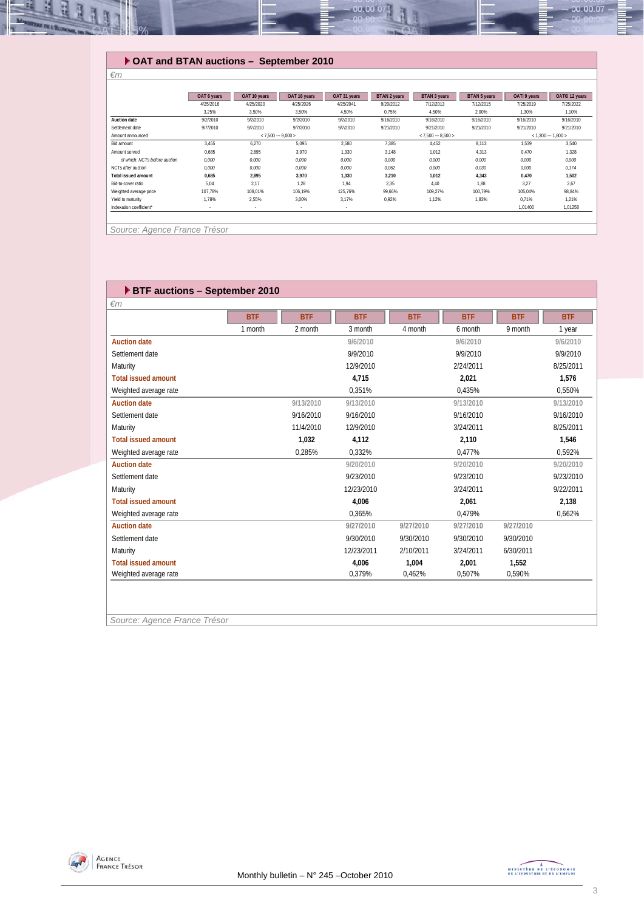

## **OAT and BTAN auctions – September 2010**

|                               | OAT 6 years | OAT 10 years | OAT 16 years        | OAT 31 years | BTAN 2 years | BTAN 3 years        | <b>BTAN 5 years</b> | OATI 9 years | OAT€i 12 years      |
|-------------------------------|-------------|--------------|---------------------|--------------|--------------|---------------------|---------------------|--------------|---------------------|
|                               | 4/25/2016   | 4/25/2020    | 4/25/2026           | 4/25/2041    | 9/20/2012    | 7/12/2013           | 7/12/2015           | 7/25/2019    | 7/25/2022           |
|                               | 3.25%       | 3,50%        | 3,50%               | 4,50%        | 0.75%        | 4.50%               | 2.00%               | 1.30%        | 1.10%               |
| <b>Auction date</b>           | 9/2/2010    | 9/2/2010     | 9/2/2010            | 9/2/2010     | 9/16/2010    | 9/16/2010           | 9/16/2010           | 9/16/2010    | 9/16/2010           |
| Settlement date               | 9/7/2010    | 9/7/2010     | 9/7/2010            | 9/7/2010     | 9/21/2010    | 9/21/2010           | 9/21/2010           | 9/21/2010    | 9/21/2010           |
| Amount announced              |             |              | $< 7.500 - 9.000 >$ |              |              | $< 7,500 - 8,500 >$ |                     |              | $< 1,300 - 1,800 >$ |
| Bid amount                    | 3,455       | 6,270        | 5,095               | 2,580        | 7,385        | 4.452               | 8.113               | 1,539        | 3.540               |
| Amount served                 | 0.685       | 2.895        | 3.970               | 1.330        | 3.148        | 1.012               | 4.313               | 0.470        | 1.328               |
| of which: NCTs before auction | 0.000       | 0.000        | 0.000               | 0.000        | 0.000        | 0.000               | 0.000               | 0.000        | 0.000               |
| NCTs after auction            | 0.000       | 0.000        | 0.000               | 0.000        | 0.062        | 0.000               | 0.030               | 0.000        | 0.174               |
| <b>Total issued amount</b>    | 0.685       | 2.895        | 3.970               | 1.330        | 3.210        | 1,012               | 4.343               | 0.470        | 1.502               |
| Bid-to-cover ratio            | 5.04        | 2,17         | 1.28                | 1.94         | 2.35         | 4.40                | 1.88                | 3.27         | 2.67                |
| Weighted average price        | 107.78%     | 108.01%      | 106.19%             | 125.76%      | 99.66%       | 109.27%             | 100.79%             | 105.04%      | 98.84%              |
| Yield to maturity             | 1.78%       | 2.55%        | 3.00%               | 3.17%        | 0.92%        | 1.12%               | 1.83%               | 0.71%        | 1.21%               |
| Indexation coefficient*       | $\sim$      | $\sim$       | $\sim$              | $\sim$       |              |                     |                     | 1,01400      | 1,01258             |

*Source: Agence France Trésor* 

*€m* 

| <b>BTF auctions - September 2010</b> |            |            |            |            |            |            |            |
|--------------------------------------|------------|------------|------------|------------|------------|------------|------------|
| $\epsilon$ m                         |            |            |            |            |            |            |            |
|                                      | <b>BTF</b> | <b>BTF</b> | <b>BTF</b> | <b>BTF</b> | <b>BTF</b> | <b>BTF</b> | <b>BTF</b> |
|                                      | 1 month    | 2 month    | 3 month    | 4 month    | 6 month    | 9 month    | 1 year     |
| <b>Auction date</b>                  |            |            | 9/6/2010   |            | 9/6/2010   |            | 9/6/2010   |
| Settlement date                      |            |            | 9/9/2010   |            | 9/9/2010   |            | 9/9/2010   |
| Maturity                             |            |            | 12/9/2010  |            | 2/24/2011  |            | 8/25/2011  |
| <b>Total issued amount</b>           |            |            | 4.715      |            | 2,021      |            | 1,576      |
| Weighted average rate                |            |            | 0.351%     |            | 0.435%     |            | 0.550%     |
| <b>Auction date</b>                  |            | 9/13/2010  | 9/13/2010  |            | 9/13/2010  |            | 9/13/2010  |
| Settlement date                      |            | 9/16/2010  | 9/16/2010  |            | 9/16/2010  |            | 9/16/2010  |
| Maturity                             |            | 11/4/2010  | 12/9/2010  |            | 3/24/2011  |            | 8/25/2011  |
| <b>Total issued amount</b>           |            | 1,032      | 4,112      |            | 2,110      |            | 1,546      |
| Weighted average rate                |            | 0,285%     | 0.332%     |            | 0.477%     |            | 0.592%     |
| <b>Auction date</b>                  |            |            | 9/20/2010  |            | 9/20/2010  |            | 9/20/2010  |
| Settlement date                      |            |            | 9/23/2010  |            | 9/23/2010  |            | 9/23/2010  |
| Maturity                             |            |            | 12/23/2010 |            | 3/24/2011  |            | 9/22/2011  |
| <b>Total issued amount</b>           |            |            | 4.006      |            | 2,061      |            | 2,138      |
| Weighted average rate                |            |            | 0.365%     |            | 0,479%     |            | 0,662%     |
| <b>Auction date</b>                  |            |            | 9/27/2010  | 9/27/2010  | 9/27/2010  | 9/27/2010  |            |
| Settlement date                      |            |            | 9/30/2010  | 9/30/2010  | 9/30/2010  | 9/30/2010  |            |
| Maturity                             |            |            | 12/23/2011 | 2/10/2011  | 3/24/2011  | 6/30/2011  |            |
| <b>Total issued amount</b>           |            |            | 4,006      | 1,004      | 2,001      | 1,552      |            |
| Weighted average rate                |            |            | 0,379%     | 0,462%     | 0,507%     | 0,590%     |            |
|                                      |            |            |            |            |            |            |            |
|                                      |            |            |            |            |            |            |            |

*Source: Agence France Trésor* 

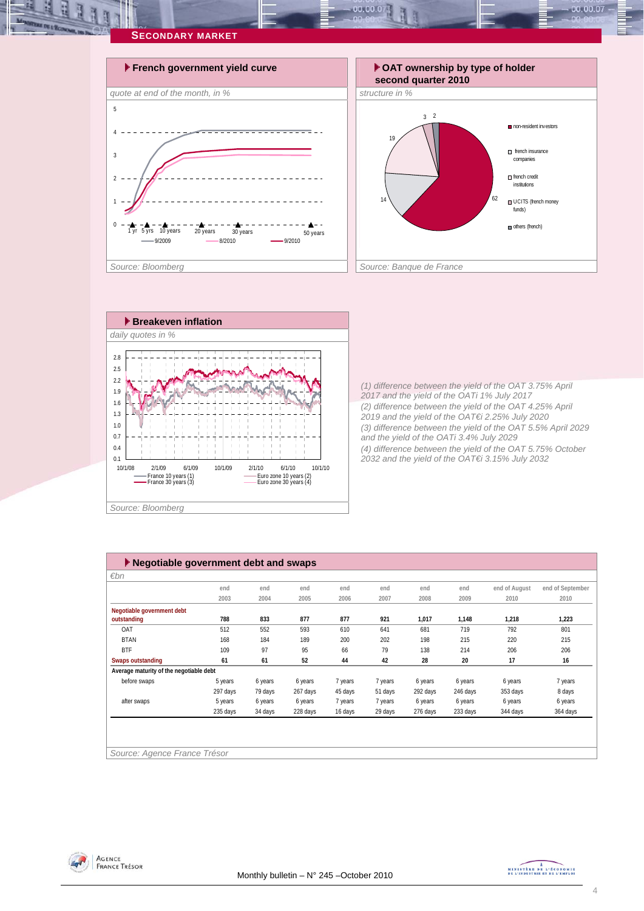

 $00.00.0$ 



*(1) difference between the yield of the OAT 3.75% April 2017 and the yield of the OATi 1% July 2017 (2) difference between the yield of the OAT 4.25% April 2019 and the yield of the OAT€i 2.25% July 2020 (3) difference between the yield of the OAT 5.5% April 2029 and the yield of the OATi 3.4% July 2029 (4) difference between the yield of the OAT 5.75% October 2032 and the yield of the OAT€i 3.15% July 2032* 

non-resident investors

 $00.00.07$ 

french insurance companies french credit institutions UCITS (french money funds) others (french)

| $\varepsilon$ bn                        |          |         |          |         |         |          |          |               |                  |
|-----------------------------------------|----------|---------|----------|---------|---------|----------|----------|---------------|------------------|
|                                         | end      | end     | end      | end     | end     | end      | end      | end of August | end of September |
|                                         | 2003     | 2004    | 2005     | 2006    | 2007    | 2008     | 2009     | 2010          | 2010             |
| Negotiable government debt              |          |         |          |         |         |          |          |               |                  |
| outstanding                             | 788      | 833     | 877      | 877     | 921     | 1,017    | 1,148    | 1,218         | 1,223            |
| OAT                                     | 512      | 552     | 593      | 610     | 641     | 681      | 719      | 792           | 801              |
| <b>BTAN</b>                             | 168      | 184     | 189      | 200     | 202     | 198      | 215      | 220           | 215              |
| <b>BTF</b>                              | 109      | 97      | 95       | 66      | 79      | 138      | 214      | 206           | 206              |
| Swaps outstanding                       | 61       | 61      | 52       | 44      | 42      | 28       | 20       | 17            | 16               |
| Average maturity of the negotiable debt |          |         |          |         |         |          |          |               |                  |
| before swaps                            | 5 years  | 6 years | 6 years  | 7 years | 7 years | 6 years  | 6 years  | 6 years       | 7 years          |
|                                         | 297 days | 79 days | 267 days | 45 days | 51 days | 292 days | 246 days | 353 days      | 8 days           |
| after swaps                             | 5 years  | 6 years | 6 years  | 7 years | 7 years | 6 years  | 6 years  | 6 years       | 6 years          |
|                                         | 235 days | 34 days | 228 days | 16 days | 29 days | 276 days | 233 days | 344 days      | 364 days         |



MINISTRE DE L'ÉCONOMIE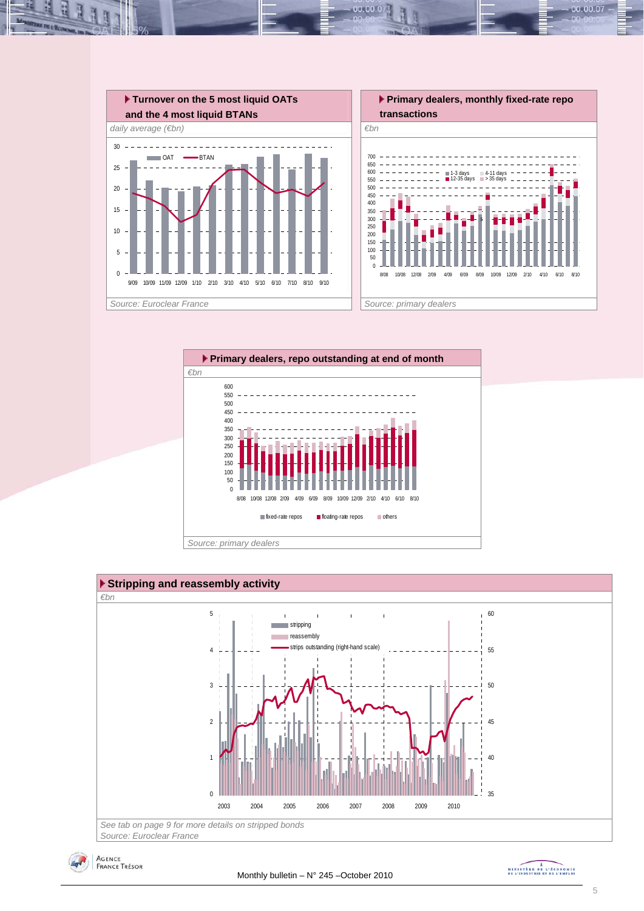

 $00.00.0$ 





MINISTRE DE L'ÉCONOMIE

00.00.07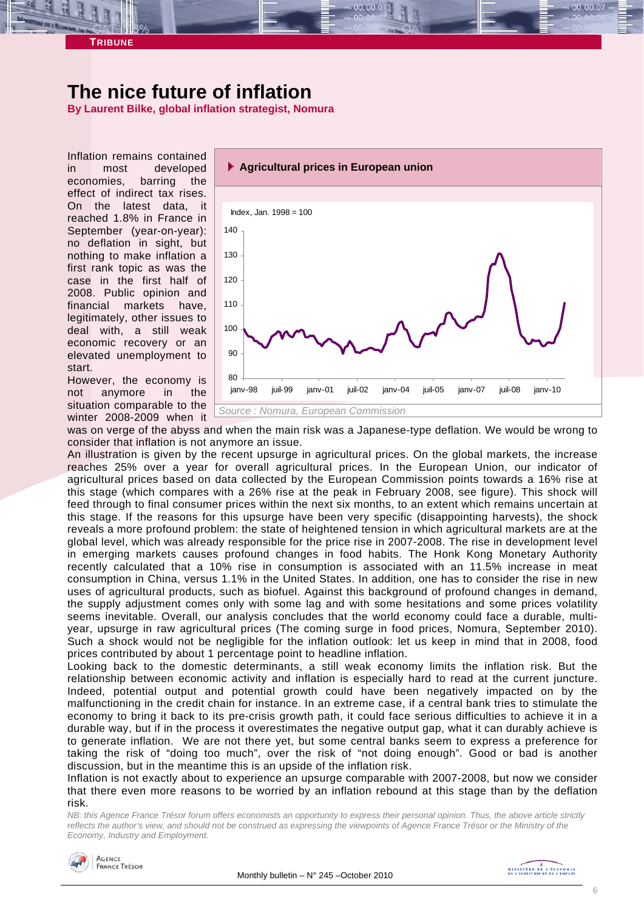# **The nice future of inflation**

**By Laurent Bilke, global inflation strategist, Nomura** 

Inflation remains contained in most developed economies, barring the effect of indirect tax rises. On the latest data, it reached 1.8% in France in September (year-on-year): no deflation in sight, but nothing to make inflation a first rank topic as was the case in the first half of 2008. Public opinion and financial markets have, legitimately, other issues to deal with, a still weak economic recovery or an elevated unemployment to start.

**TRIBUNE** 

However, the economy is not anymore in the situation comparable to the winter 2008-2009 when it



was on verge of the abyss and when the main risk was a Japanese-type deflation. We would be wrong to consider that inflation is not anymore an issue.

An illustration is given by the recent upsurge in agricultural prices. On the global markets, the increase reaches 25% over a year for overall agricultural prices. In the European Union, our indicator of agricultural prices based on data collected by the European Commission points towards a 16% rise at this stage (which compares with a 26% rise at the peak in February 2008, see figure). This shock will feed through to final consumer prices within the next six months, to an extent which remains uncertain at this stage. If the reasons for this upsurge have been very specific (disappointing harvests), the shock reveals a more profound problem: the state of heightened tension in which agricultural markets are at the global level, which was already responsible for the price rise in 2007-2008. The rise in development level in emerging markets causes profound changes in food habits. The Honk Kong Monetary Authority recently calculated that a 10% rise in consumption is associated with an 11.5% increase in meat consumption in China, versus 1.1% in the United States. In addition, one has to consider the rise in new uses of agricultural products, such as biofuel. Against this background of profound changes in demand, the supply adjustment comes only with some lag and with some hesitations and some prices volatility seems inevitable. Overall, our analysis concludes that the world economy could face a durable, multiyear, upsurge in raw agricultural prices (The coming surge in food prices, Nomura, September 2010). Such a shock would not be negligible for the inflation outlook: let us keep in mind that in 2008, food prices contributed by about 1 percentage point to headline inflation.

Looking back to the domestic determinants, a still weak economy limits the inflation risk. But the relationship between economic activity and inflation is especially hard to read at the current juncture. Indeed, potential output and potential growth could have been negatively impacted on by the malfunctioning in the credit chain for instance. In an extreme case, if a central bank tries to stimulate the economy to bring it back to its pre-crisis growth path, it could face serious difficulties to achieve it in a durable way, but if in the process it overestimates the negative output gap, what it can durably achieve is to generate inflation. We are not there yet, but some central banks seem to express a preference for taking the risk of "doing too much", over the risk of "not doing enough". Good or bad is another discussion, but in the meantime this is an upside of the inflation risk.

Inflation is not exactly about to experience an upsurge comparable with 2007-2008, but now we consider that there even more reasons to be worried by an inflation rebound at this stage than by the deflation risk.

*NB: this Agence France Trésor forum offers economists an opportunity to express their personal opinion. Thus, the above article strictly reflects the author's view, and should not be construed as expressing the viewpoints of Agence France Trésor or the Ministry of the Economy, Industry and Employment.* 

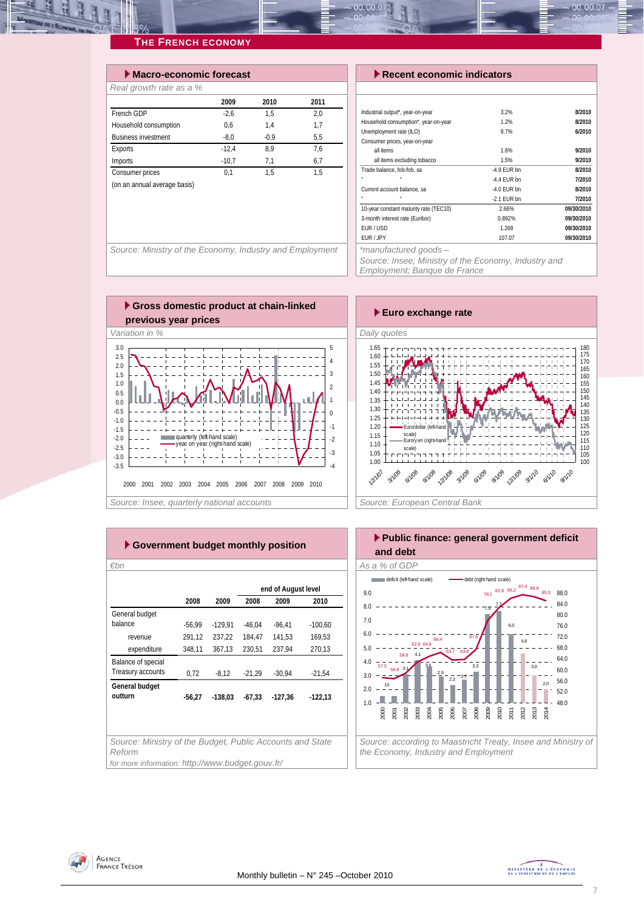| $\blacktriangleright$ Macro-economic forecast |        |      |  |  |  |  |  |  |  |  |
|-----------------------------------------------|--------|------|--|--|--|--|--|--|--|--|
|                                               |        |      |  |  |  |  |  |  |  |  |
| 2009                                          | 2010   | 2011 |  |  |  |  |  |  |  |  |
| $-2.6$                                        | 1.5    | 2.0  |  |  |  |  |  |  |  |  |
| 0.6                                           | 1.4    | 1,7  |  |  |  |  |  |  |  |  |
| $-8.0$                                        | $-0.9$ | 5.5  |  |  |  |  |  |  |  |  |
| $-12.4$                                       | 8.9    | 7.6  |  |  |  |  |  |  |  |  |
| $-10.7$                                       | 7,1    | 6,7  |  |  |  |  |  |  |  |  |
| 0.1                                           | 1.5    | 1.5  |  |  |  |  |  |  |  |  |
|                                               |        |      |  |  |  |  |  |  |  |  |
|                                               |        |      |  |  |  |  |  |  |  |  |

#### *Execent economic indicators*

| Industrial output*, year-on-year       | 3.2%          | 8/2010     |
|----------------------------------------|---------------|------------|
| Household consumption*, year-on-year   | 1.2%          | 8/2010     |
| Unemployment rate (ILO)                | 9.7%          | 6/2010     |
| Consumer prices, year-on-year          |               |            |
| all items                              | 1.6%          | 9/2010     |
| all items excluding tobacco            | 1.5%          | 9/2010     |
| Trade balance, fob-fob, sa             | $-4.9$ FUR bn | 8/2010     |
| ×.                                     | $-4.4$ FUR bn | 7/2010     |
| Current account balance, sa            | $-4.0$ FUR bn | 8/2010     |
| ٠                                      | $-2.1$ EUR bn | 7/2010     |
| 10-year constant maturity rate (TEC10) | 2.66%         | 09/30/2010 |
| 3-month interest rate (Euribor)        | 0.892%        | 09/30/2010 |
| EUR/USD                                | 1.268         | 09/30/2010 |
| FUR / JPY                              | 107.07        | 09/30/2010 |
|                                        |               |            |

00.00.07

Source: Ministry of the Economy, Industry and Employment | | \*manufactured goods –

*Source: Insee; Ministry of the Economy, Industry and* 

*Employment; Banque de France* 





| ► Government budget monthly position                                |          |           |          |                     |           |  |  |  |  |  |  |  |
|---------------------------------------------------------------------|----------|-----------|----------|---------------------|-----------|--|--|--|--|--|--|--|
| €bn                                                                 |          |           |          |                     |           |  |  |  |  |  |  |  |
|                                                                     |          |           |          | end of August level |           |  |  |  |  |  |  |  |
|                                                                     | 2008     | 2009      | 2008     | 2009                | 2010      |  |  |  |  |  |  |  |
| General budget                                                      |          |           |          |                     |           |  |  |  |  |  |  |  |
| balance                                                             | -56,99   | $-129.91$ | $-46.04$ | $-96,41$            | $-100,60$ |  |  |  |  |  |  |  |
| revenue                                                             | 291,12   | 237.22    | 184.47   | 141.53              | 169.53    |  |  |  |  |  |  |  |
| expenditure                                                         | 348,11   | 367,13    | 230,51   | 237,94              | 270,13    |  |  |  |  |  |  |  |
| Balance of special                                                  |          |           |          |                     |           |  |  |  |  |  |  |  |
| Treasury accounts                                                   | 0.72     | $-8.12$   | $-21.29$ | $-30.94$            | $-21.54$  |  |  |  |  |  |  |  |
| General budget                                                      |          |           |          |                     |           |  |  |  |  |  |  |  |
| outturn                                                             | $-56.27$ | $-138.03$ | $-67,33$ | $-127,36$           | $-122,13$ |  |  |  |  |  |  |  |
|                                                                     |          |           |          |                     |           |  |  |  |  |  |  |  |
|                                                                     |          |           |          |                     |           |  |  |  |  |  |  |  |
|                                                                     |          |           |          |                     |           |  |  |  |  |  |  |  |
| Source: Ministry of the Budget, Public Accounts and State<br>Reform |          |           |          |                     |           |  |  |  |  |  |  |  |
| for more information: http://www.budget.gouv.fr/                    |          |           |          |                     |           |  |  |  |  |  |  |  |



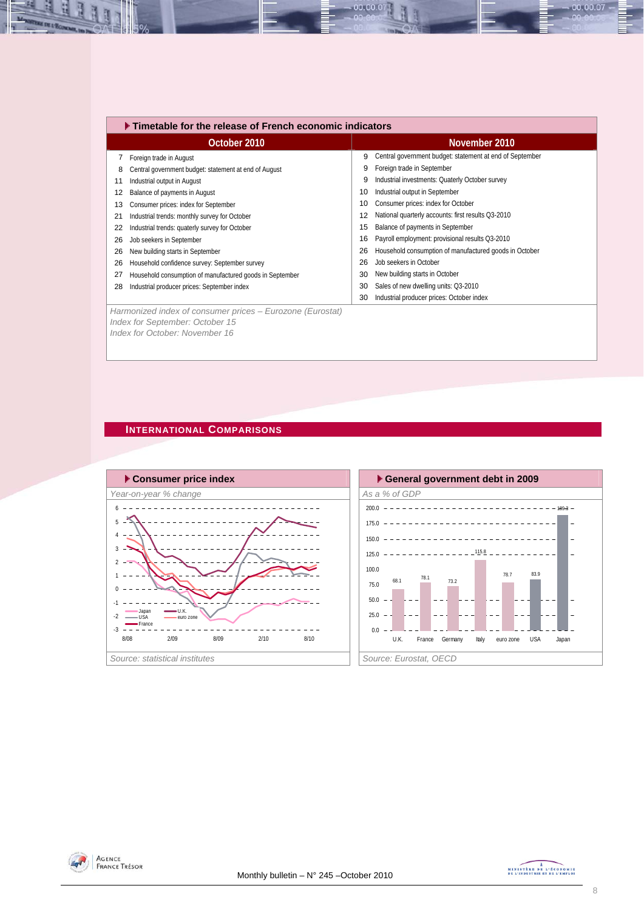|    | ▶ Timetable for the release of French economic indicators |    |                                                          |  |  |  |  |  |  |  |
|----|-----------------------------------------------------------|----|----------------------------------------------------------|--|--|--|--|--|--|--|
|    | October 2010                                              |    | November 2010                                            |  |  |  |  |  |  |  |
|    | Foreign trade in August                                   | 9  | Central government budget: statement at end of September |  |  |  |  |  |  |  |
| 8  | Central government budget: statement at end of August     | 9  | Foreign trade in September                               |  |  |  |  |  |  |  |
| 11 | Industrial output in August                               | 9  | Industrial investments: Quaterly October survey          |  |  |  |  |  |  |  |
| 12 | Balance of payments in August                             | 10 | Industrial output in September                           |  |  |  |  |  |  |  |
| 13 | Consumer prices: index for September                      | 10 | Consumer prices: index for October                       |  |  |  |  |  |  |  |
| 21 | Industrial trends: monthly survey for October             | 12 | National quarterly accounts: first results Q3-2010       |  |  |  |  |  |  |  |
| 22 | Industrial trends: quaterly survey for October            | 15 | Balance of payments in September                         |  |  |  |  |  |  |  |
| 26 | Job seekers in September                                  | 16 | Payroll employment: provisional results Q3-2010          |  |  |  |  |  |  |  |
| 26 | New building starts in September                          | 26 | Household consumption of manufactured goods in October   |  |  |  |  |  |  |  |
| 26 | Household confidence survey: September survey             | 26 | Job seekers in October                                   |  |  |  |  |  |  |  |
| 27 | Household consumption of manufactured goods in September  | 30 | New building starts in October                           |  |  |  |  |  |  |  |
| 28 | Industrial producer prices: September index               | 30 | Sales of new dwelling units: Q3-2010                     |  |  |  |  |  |  |  |
|    |                                                           | 30 | Industrial producer prices: October index                |  |  |  |  |  |  |  |
|    | Harmonized index of consumer prices - Eurozone (Eurostat) |    |                                                          |  |  |  |  |  |  |  |
|    | Index for September: October 15                           |    |                                                          |  |  |  |  |  |  |  |

00.00.0

#### **INTERNATIONAL COMPARISONS**

*Index for October: November 16* 







00.00.07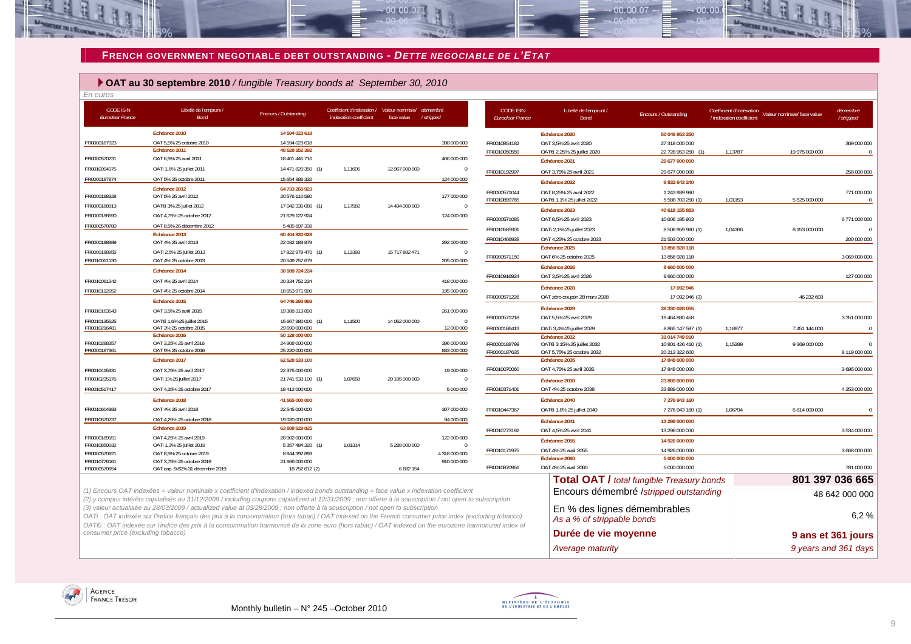#### **FRENCH GOVERNMENT NEGOTIABLE DEBT OUTSTANDING -** *DETTE NEGOCIABLE DE L'ETAT*

 $00.00.07$ 

#### **OAT au 30 septembre 2010** */ fungible Treasury bonds at September 30, 2010*

| En euros                                    |                                                                                                                                                                                                                                                                                                                                                                                                                                                                                                                                                                                                              |                                  |                                                                       |                |                              |                                             |                                                            |                                                  |                          |                                                        |                           |
|---------------------------------------------|--------------------------------------------------------------------------------------------------------------------------------------------------------------------------------------------------------------------------------------------------------------------------------------------------------------------------------------------------------------------------------------------------------------------------------------------------------------------------------------------------------------------------------------------------------------------------------------------------------------|----------------------------------|-----------------------------------------------------------------------|----------------|------------------------------|---------------------------------------------|------------------------------------------------------------|--------------------------------------------------|--------------------------|--------------------------------------------------------|---------------------------|
| <b>CODE ISIN</b><br><b>Euroclear France</b> | Libellé de l'emprunt /<br>Bond                                                                                                                                                                                                                                                                                                                                                                                                                                                                                                                                                                               | Encours / Outstanding            | Coefficient d'indexation / Valeur nominale/<br>indexation coefficient | face value     | démembre<br>/stripped        | <b>CODE ISIN</b><br><b>Euroclear France</b> | Libellé de l'emprunt /<br><b>Bond</b>                      | Encours / Outstanding                            | / indexation coefficient | Coefficient d'indexation<br>Valeur nominale/face value | démembré<br>/ stripped    |
|                                             | Échéance 2010                                                                                                                                                                                                                                                                                                                                                                                                                                                                                                                                                                                                | 14 594 023 618                   |                                                                       |                |                              |                                             | Échéance 2020                                              | 50 046 953 250                                   |                          |                                                        |                           |
| FR0000187023                                | OAT 5,5% 25 octobre 2010                                                                                                                                                                                                                                                                                                                                                                                                                                                                                                                                                                                     | 14 594 023 618                   |                                                                       |                | 398 000 000                  | FR0010854182                                | OAT 3,5% 25 avril 2020                                     | 27 318 000 000                                   |                          |                                                        | 369 000 000               |
|                                             | Échéance 2011                                                                                                                                                                                                                                                                                                                                                                                                                                                                                                                                                                                                | 48 528 152 392                   |                                                                       |                |                              | FR0010050559                                | OATEi 2,25% 25 juillet 2020                                | 22 728 953 250<br>(1)                            | 1,13787                  | 19 975 000 000                                         | $\sqrt{ }$                |
| FR0000570731                                | OAT 6,5% 25 avril 2011                                                                                                                                                                                                                                                                                                                                                                                                                                                                                                                                                                                       | 18 401 445 710                   |                                                                       |                | 466 000 000                  |                                             | Échéance 2021                                              | 29 677 000 000                                   |                          |                                                        |                           |
| FR0010094375                                | OATi 1,6% 25 juillet 2011                                                                                                                                                                                                                                                                                                                                                                                                                                                                                                                                                                                    | 14 471 820 350 (1)               | 1,11605                                                               | 12 967 000 000 | $\theta$                     | FR0010192997                                | OAT 3,75% 25 avril 2021                                    | 29 677 000 000                                   |                          |                                                        | 258 000 000               |
| FR0000187874                                | OAT 5% 25 octobre 2011                                                                                                                                                                                                                                                                                                                                                                                                                                                                                                                                                                                       | 15 654 886 332                   |                                                                       |                | 124 000 000                  |                                             | Échéance 2022                                              | 6 832 643 240                                    |                          |                                                        |                           |
| FR0000188328                                | Échéance 2012<br>OAT 5% 25 avril 2012                                                                                                                                                                                                                                                                                                                                                                                                                                                                                                                                                                        | 64 733 265 923<br>20 576 110 580 |                                                                       |                | 177 000 000                  | FR0000571044<br>FR0010899765                | OAT 8,25% 25 avril 2022<br>OATEI 1,1% 25 juillet 2022      | 1 243 939 990<br>5 588 703 250 (1)               | 1,01153                  | 5 525 000 000                                          | 771 000 000<br>$\sqrt{ }$ |
| FR0000188013                                | OAT€i 3% 25 juillet 2012                                                                                                                                                                                                                                                                                                                                                                                                                                                                                                                                                                                     | 17 042 335 080 (1)               | 1,17582                                                               | 14 494 000 000 | $\mathbf 0$                  |                                             | Échéance 2023                                              | 40 618 155 883                                   |                          |                                                        |                           |
| FR0000188690                                | OAT 4,75% 25 octobre 2012                                                                                                                                                                                                                                                                                                                                                                                                                                                                                                                                                                                    | 21 629 122 924                   |                                                                       |                | 124 000 000                  | FR0000571085                                | OAT 8,5% 25 avril 2023                                     | 10 606 195 903                                   |                          |                                                        | 6 771 000 000             |
| FR0000570780                                | OAT 8,5% 26 décembre 2012                                                                                                                                                                                                                                                                                                                                                                                                                                                                                                                                                                                    | 5 485 697 339                    |                                                                       |                |                              | FR0010585901                                | OATi 2,1% 25 juillet 2023                                  | 8 508 959 980 (1)                                | 1,04366                  | 8 153 000 000                                          |                           |
|                                             | Échéance 2013                                                                                                                                                                                                                                                                                                                                                                                                                                                                                                                                                                                                | 60 404 920 028                   |                                                                       |                |                              |                                             |                                                            |                                                  |                          |                                                        |                           |
| FR0000188989                                | OAT 4% 25 avril 2013                                                                                                                                                                                                                                                                                                                                                                                                                                                                                                                                                                                         | 22 032 183 879                   |                                                                       |                | 292 000 000                  | FR0010466938                                | OAT 4,25% 25 octobre 2023<br>Échéance 2025                 | 21 503 000 000<br>13 856 928 118                 |                          |                                                        | 200 000 000               |
| FR0000188955                                | OATi 2,5% 25 juillet 2013                                                                                                                                                                                                                                                                                                                                                                                                                                                                                                                                                                                    | 17822978470 (1)                  | 1,13393                                                               | 15 717 882 471 | $\Omega$                     | FR0000571150                                | OAT 6% 25 octobre 2025                                     | 13 856 928 118                                   |                          |                                                        | 3 069 000 000             |
| FR0010011130                                | OAT 4% 25 octobre 2013                                                                                                                                                                                                                                                                                                                                                                                                                                                                                                                                                                                       | 20 549 757 679                   |                                                                       |                | 205 000 000                  |                                             | Échéance 2026                                              | 8 660 000 000                                    |                          |                                                        |                           |
|                                             | Échéance 2014                                                                                                                                                                                                                                                                                                                                                                                                                                                                                                                                                                                                | 38 988 724 224                   |                                                                       |                |                              | FR0010916924                                | OAT 3.5% 25 avril 2026                                     | 8 660 000 000                                    |                          |                                                        | 127 000 000               |
| FR0010061242                                | OAT 4% 25 avril 2014                                                                                                                                                                                                                                                                                                                                                                                                                                                                                                                                                                                         | 20 334 752 234                   |                                                                       |                | 418 000 000                  |                                             | Échéance 2028                                              |                                                  |                          |                                                        |                           |
| FR0010112052                                | OAT 4% 25 octobre 2014                                                                                                                                                                                                                                                                                                                                                                                                                                                                                                                                                                                       | 18 653 971 990                   |                                                                       |                | 195 000 000                  | FR0000571226                                |                                                            | 17 092 946<br>17 092 946 (3)                     |                          | 46 232 603                                             |                           |
|                                             | Échéance 2015                                                                                                                                                                                                                                                                                                                                                                                                                                                                                                                                                                                                | 64 746 293 893                   |                                                                       |                |                              |                                             | OAT zéro coupon 28 mars 2028                               |                                                  |                          |                                                        |                           |
| FR0010163543                                | OAT 3,5% 25 avril 2015                                                                                                                                                                                                                                                                                                                                                                                                                                                                                                                                                                                       | 19 388 313 893                   |                                                                       |                | 261 000 000                  |                                             | Échéance 2029                                              | 28 330 028 055                                   |                          |                                                        |                           |
| FR0010135525                                | OAT€i 1,6% 25 juillet 2015                                                                                                                                                                                                                                                                                                                                                                                                                                                                                                                                                                                   | 15 667 980 000 (1)               | 1,11500                                                               | 14 052 000 000 | $\Omega$                     | FR0000571218                                | OAT 5,5% 25 avril 2029                                     | 19 464 880 458                                   |                          |                                                        | 3 351 000 000             |
| FR0010216481                                | OAT 3% 25 octobre 2015<br>Échéance 2016                                                                                                                                                                                                                                                                                                                                                                                                                                                                                                                                                                      | 29 690 000 000<br>50 128 000 000 |                                                                       |                | 12 000 000                   | FR0000186413                                | OATi 3,4% 25 juillet 2029                                  | 8 865 147 597 (1)                                | 1,18977                  | 7 451 144 000                                          | $\Omega$                  |
| FR0010288357                                | OAT 3,25% 25 avril 2016                                                                                                                                                                                                                                                                                                                                                                                                                                                                                                                                                                                      | 24 908 000 000                   |                                                                       |                | 396 000 000                  | FR0000188799                                | Échéance 2032<br>OAT€i 3,15% 25 juillet 2032               | 31 014 749 010<br>10 801 426 410 (1)             | 1,15289                  | 9 369 000 000                                          | $\Omega$                  |
| FR0000187361                                | OAT 5% 25 octobre 2016                                                                                                                                                                                                                                                                                                                                                                                                                                                                                                                                                                                       | 25 220 000 000                   |                                                                       |                | 833 000 000                  | FR0000187635                                | OAT 5,75% 25 octobre 2032                                  | 20 213 322 600                                   |                          |                                                        | 8 119 000 000             |
|                                             | Échéance 2017                                                                                                                                                                                                                                                                                                                                                                                                                                                                                                                                                                                                | 62 528 533 100                   |                                                                       |                |                              |                                             | Échéance 2035                                              | 17 848 000 000                                   |                          |                                                        |                           |
| FR0010415331                                | OAT 3,75% 25 avril 2017                                                                                                                                                                                                                                                                                                                                                                                                                                                                                                                                                                                      | 22 375 000 000                   |                                                                       |                | 19 000 000                   | FR0010070060                                | OAT 4,75% 25 avril 2035                                    | 17 848 000 000                                   |                          |                                                        | 3 695 000 000             |
| FR0010235176                                | OATi 1% 25 juillet 2017                                                                                                                                                                                                                                                                                                                                                                                                                                                                                                                                                                                      | 21 741 533 100 (1)               | 1,07658                                                               | 20 195 000 000 | $\Omega$                     |                                             | Échéance 2038                                              | 23 889 000 000                                   |                          |                                                        |                           |
| FR0010517417                                | OAT 4,25% 25 octobre 2017                                                                                                                                                                                                                                                                                                                                                                                                                                                                                                                                                                                    | 18 412 000 000                   |                                                                       |                | 5 000 000                    | FR0010371401                                | OAT 4% 25 octobre 2038                                     | 23 889 000 000                                   |                          |                                                        | 4 253 000 000             |
|                                             | Échéance 2018                                                                                                                                                                                                                                                                                                                                                                                                                                                                                                                                                                                                | 41 565 000 000                   |                                                                       |                |                              |                                             | Échéance 2040                                              | 7 276 943 160                                    |                          |                                                        |                           |
| FR0010604983                                | OAT 4% 25 avril 2018                                                                                                                                                                                                                                                                                                                                                                                                                                                                                                                                                                                         | 22 545 000 000                   |                                                                       |                | 307 000 000                  | FR0010447367                                | OATEi 1,8% 25 juillet 2040                                 | 7 276 943 160 (1)                                | 1,06794                  | 6 814 000 000                                          | $\Omega$                  |
| FR0010670737                                | OAT 4,25% 25 octobre 2018                                                                                                                                                                                                                                                                                                                                                                                                                                                                                                                                                                                    | 19 020 000 000                   |                                                                       |                | 94 000 000                   |                                             | Échéance 2041                                              | 13 298 000 000                                   |                          |                                                        |                           |
|                                             | Échéance 2019                                                                                                                                                                                                                                                                                                                                                                                                                                                                                                                                                                                                | 63 888 629 825                   |                                                                       |                |                              | FR0010773192                                | OAT 4,5% 25 avril 2041                                     | 13 298 000 000                                   |                          |                                                        | 3 534 000 000             |
| FR0000189151                                | OAT 4,25% 25 avril 2019                                                                                                                                                                                                                                                                                                                                                                                                                                                                                                                                                                                      | 28 002 000 000                   |                                                                       |                | 122 000 000                  |                                             | Échéance 2055                                              | 14 926 000 000                                   |                          |                                                        |                           |
| FR0010850032                                | OATi 1,3% 25 juillet 2019                                                                                                                                                                                                                                                                                                                                                                                                                                                                                                                                                                                    | 5 357 484 320 (1)                | 1,01314                                                               | 5 288 000 000  |                              | FR0010171975                                | OAT 4% 25 avril 2055                                       | 14 926 000 000                                   |                          |                                                        | 3 668 000 000             |
| FR0000570921<br>FR0010776161                | OAT 8,5% 25 octobre 2019<br>OAT 3,75% 25 octobre 2019                                                                                                                                                                                                                                                                                                                                                                                                                                                                                                                                                        | 8 844 392 893<br>21 666 000 000  |                                                                       |                | 4 318 000 000<br>910 000 000 |                                             | Échéance 2060                                              | 5 000 000 000                                    |                          |                                                        |                           |
| FR0000570954                                | OAT cap. 9,82% 31 décembre 2019                                                                                                                                                                                                                                                                                                                                                                                                                                                                                                                                                                              | 18 752 612 (2)                   |                                                                       | 6 692 154      |                              | FR0010870956                                | OAT 4% 25 avril 2060                                       | 5 000 000 000                                    |                          |                                                        | 781 000 000               |
|                                             |                                                                                                                                                                                                                                                                                                                                                                                                                                                                                                                                                                                                              |                                  |                                                                       |                |                              |                                             |                                                            | <b>Total OAT / total fungible Treasury bonds</b> |                          |                                                        | 801 397 036 665           |
|                                             | (1) Encours OAT indexées = valeur nominale x coefficient d'indexation / indexed bonds outstanding = face value x indexation coefficient                                                                                                                                                                                                                                                                                                                                                                                                                                                                      |                                  |                                                                       |                |                              |                                             |                                                            | Encours démembré /stripped outstanding           |                          |                                                        | 48 642 000 000            |
|                                             | (2) y compris intérêts capitalisés au 31/12/2009 / including coupons capitalized at 12/31/2009 ; non offerte à la souscription / not open to subscription<br>(3) valeur actualisée au 28/03/2009 / actualized value at 03/28/2009 ; non offerte à la souscription / not open to subscription<br>OATi: OAT indexée sur l'indice français des prix à la consommation (hors tabac) / OAT indexed on the French consumer price index (excluding tobacco)<br>OAT€i : OAT indexée sur l'indice des prix à la consommation harmonisé de la zone euro (hors tabac) / OAT indexed on the eurozone harmonized index of |                                  |                                                                       |                |                              |                                             | En % des lignes démembrables<br>As a % of strippable bonds |                                                  |                          |                                                        | 6.2%                      |
| consumer price (excluding tobacco)          |                                                                                                                                                                                                                                                                                                                                                                                                                                                                                                                                                                                                              |                                  |                                                                       |                |                              |                                             | Durée de vie moyenne                                       |                                                  |                          |                                                        | 9 ans et 361 jours        |
|                                             |                                                                                                                                                                                                                                                                                                                                                                                                                                                                                                                                                                                                              |                                  |                                                                       |                |                              |                                             | Average maturity                                           |                                                  |                          |                                                        | 9 years and 361 days      |





 $00007$ 

an no